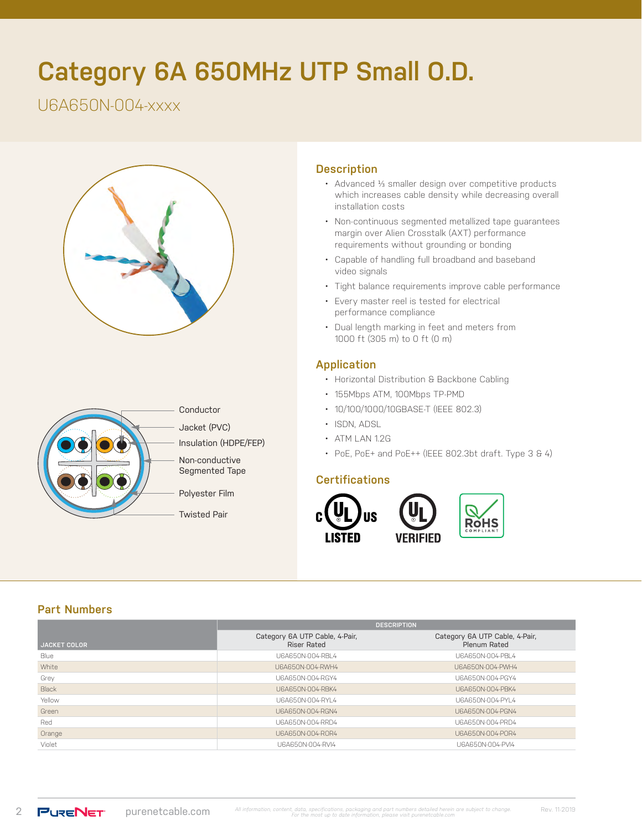# **Category 6A 650MHz UTP Small O.D.**

# U6A650N-004-xxxx





## **Description**

- Advanced 1/3 smaller design over competitive products which increases cable density while decreasing overall installation costs
- Non-continuous segmented metallized tape guarantees margin over Alien Crosstalk (AXT) performance requirements without grounding or bonding
- Capable of handling full broadband and baseband video signals
- Tight balance requirements improve cable performance
- Every master reel is tested for electrical performance compliance
- Dual length marking in feet and meters from 1000 ft (305 m) to 0 ft (0 m)

#### **Application**

- Horizontal Distribution & Backbone Cabling
- 155Mbps ATM, 100Mbps TP-PMD
- 10/100/1000/10GBASE-T (IEEE 802.3)
- ISDN, ADSL
- ATM LAN 1.2G
- PoE, PoE+ and PoE++ (IEEE 802.3bt draft. Type 3 & 4)

#### **Certifications**



#### **Part Numbers**

|                     | <b>DESCRIPTION</b>                            |                                                |  |  |
|---------------------|-----------------------------------------------|------------------------------------------------|--|--|
| <b>JACKET COLOR</b> | Category 6A UTP Cable, 4-Pair,<br>Riser Rated | Category 6A UTP Cable, 4-Pair,<br>Plenum Rated |  |  |
| Blue                | U6A650N-004-RBL4                              | U6A650N-004-PBL4                               |  |  |
| White               | U6A650N-004-RWH4                              | U6A650N-004-PWH4                               |  |  |
| Grey                | U6A650N-004-RGY4                              | U6A650N-004-PGY4                               |  |  |
| Black               | U6A650N-004-RBK4                              | U6A650N-004-PBK4                               |  |  |
| Yellow              | U6A650N-004-RYL4                              | U6A650N-004-PYL4                               |  |  |
| Green               | U6A650N-004-RGN4                              | U6A650N-004-PGN4                               |  |  |
| Red                 | U6A650N-004-RRD4                              | U6A650N-004-PRD4                               |  |  |
| Orange              | U6A650N-004-ROR4                              | U6A650N-004-POR4                               |  |  |
| Violet              | U6A650N-004-RVI4                              | U6A650N-004-PVI4                               |  |  |